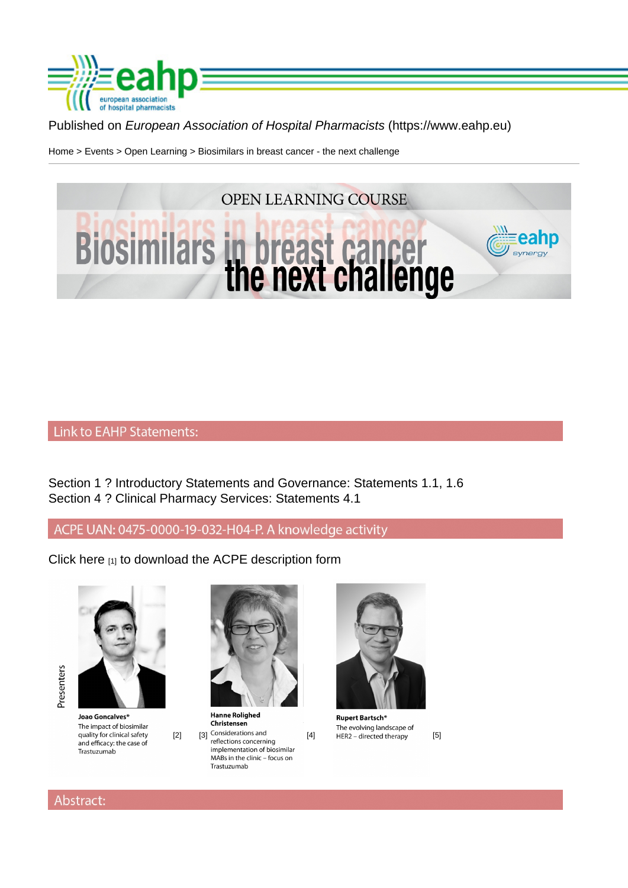## Published on European Association of Hospital Pharmacists (https://www.eahp.eu)

Home > Events > Open Learning > Biosimilars in breast cancer - the next challenge

Section 1 ? Introductory Statements and Governance: Statements 1.1, 1.6 Section 4 ? Clinical Pharmacy Services: Statements 4.1

Click here [1] to download the ACPE description form

 $[2]$   $[3]$  [4]  $[4]$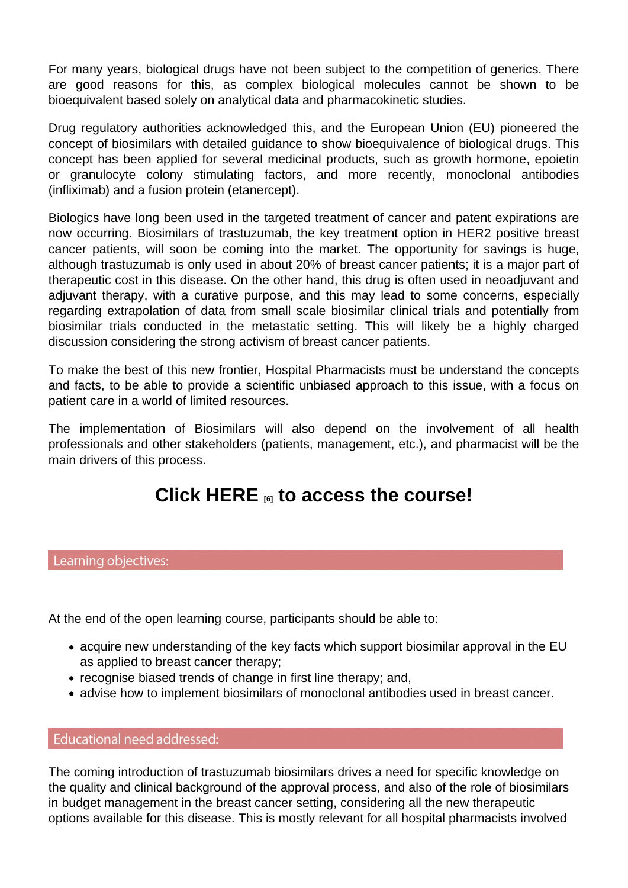For many years, biological drugs have not been subject to the competition of generics. There are good reasons for this, as complex biological molecules cannot be shown to be bioequivalent based solely on analytical data and pharmacokinetic studies.

Drug regulatory authorities acknowledged this, and the European Union (EU) pioneered the concept of biosimilars with detailed guidance to show bioequivalence of biological drugs. This concept has been applied for several medicinal products, such as growth hormone, epoietin or granulocyte colony stimulating factors, and more recently, monoclonal antibodies (infliximab) and a fusion protein (etanercept).

Biologics have long been used in the targeted treatment of cancer and patent expirations are now occurring. Biosimilars of trastuzumab, the key treatment option in HER2 positive breast cancer patients, will soon be coming into the market. The opportunity for savings is huge, although trastuzumab is only used in about 20% of breast cancer patients; it is a major part of therapeutic cost in this disease. On the other hand, this drug is often used in neoadjuvant and adjuvant therapy, with a curative purpose, and this may lead to some concerns, especially regarding extrapolation of data from small scale biosimilar clinical trials and potentially from biosimilar trials conducted in the metastatic setting. This will likely be a highly charged discussion considering the strong activism of breast cancer patients.

To make the best of this new frontier, Hospital Pharmacists must be understand the concepts and facts, to be able to provide a scientific unbiased approach to this issue, with a focus on patient care in a world of limited resources.

The implementation of Biosimilars will also depend on the involvement of all health professionals and other stakeholders (patients, management, etc.), and pharmacist will be the main drivers of this process.

# Click HERE  $_{6}$  to access the course!

At the end of the open learning course, participants should be able to:

- acquire new understanding of the key facts which support biosimilar approval in the EU as applied to breast cancer therapy;
- recognise biased trends of change in first line therapy; and,
- advise how to implement biosimilars of monoclonal antibodies used in breast cancer.

The coming introduction of trastuzumab biosimilars drives a need for specific knowledge on the quality and clinical background of the approval process, and also of the role of biosimilars in budget management in the breast cancer setting, considering all the new therapeutic options available for this disease. This is mostly relevant for all hospital pharmacists involved